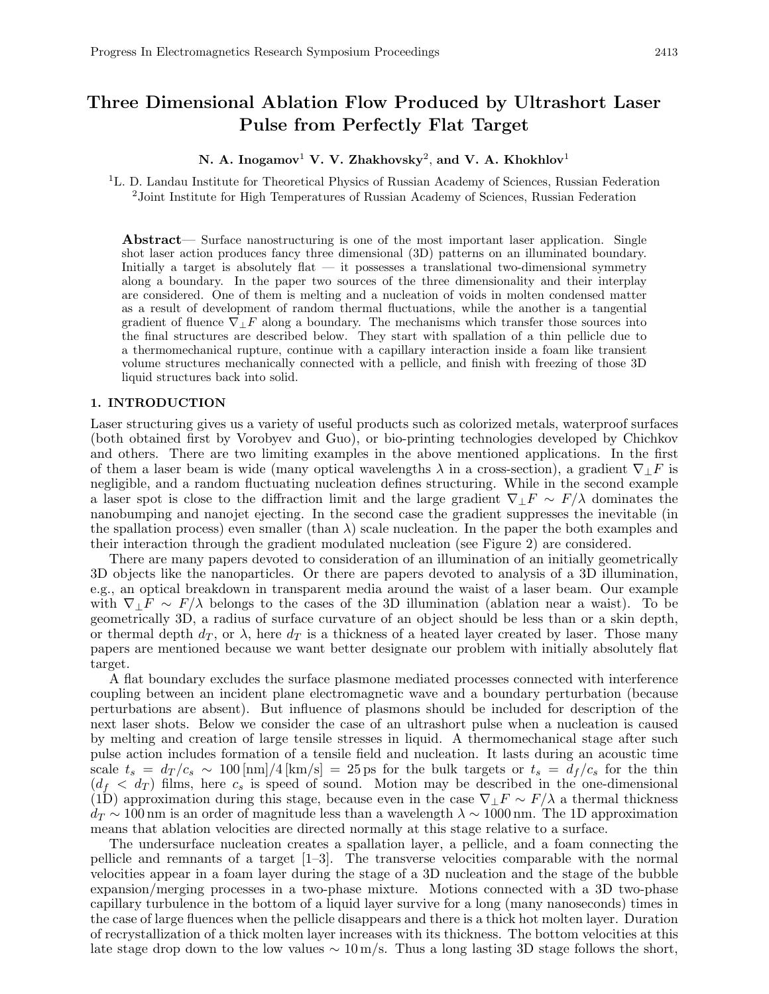# Three Dimensional Ablation Flow Produced by Ultrashort Laser Pulse from Perfectly Flat Target

# N. A. Inogamov $^1$  V. V. Zhakhovsky<sup>2</sup>, and V. A. Khokhlov $^1$

<sup>1</sup>L. D. Landau Institute for Theoretical Physics of Russian Academy of Sciences, Russian Federation <sup>2</sup>Joint Institute for High Temperatures of Russian Academy of Sciences, Russian Federation

Abstract— Surface nanostructuring is one of the most important laser application. Single shot laser action produces fancy three dimensional (3D) patterns on an illuminated boundary. Initially a target is absolutely flat  $-$  it possesses a translational two-dimensional symmetry along a boundary. In the paper two sources of the three dimensionality and their interplay are considered. One of them is melting and a nucleation of voids in molten condensed matter as a result of development of random thermal fluctuations, while the another is a tangential gradient of fluence  $\nabla_{\perp}F$  along a boundary. The mechanisms which transfer those sources into the final structures are described below. They start with spallation of a thin pellicle due to a thermomechanical rupture, continue with a capillary interaction inside a foam like transient volume structures mechanically connected with a pellicle, and finish with freezing of those 3D liquid structures back into solid.

#### 1. INTRODUCTION

Laser structuring gives us a variety of useful products such as colorized metals, waterproof surfaces (both obtained first by Vorobyev and Guo), or bio-printing technologies developed by Chichkov and others. There are two limiting examples in the above mentioned applications. In the first of them a laser beam is wide (many optical wavelengths  $\lambda$  in a cross-section), a gradient  $\nabla_{\perp} F$  is negligible, and a random fluctuating nucleation defines structuring. While in the second example a laser spot is close to the diffraction limit and the large gradient  $\nabla_+ F \sim F/\lambda$  dominates the nanobumping and nanojet ejecting. In the second case the gradient suppresses the inevitable (in the spallation process) even smaller (than  $\lambda$ ) scale nucleation. In the paper the both examples and their interaction through the gradient modulated nucleation (see Figure 2) are considered.

There are many papers devoted to consideration of an illumination of an initially geometrically 3D objects like the nanoparticles. Or there are papers devoted to analysis of a 3D illumination, e.g., an optical breakdown in transparent media around the waist of a laser beam. Our example with  $\nabla$ ⊥F ~  $F/\lambda$  belongs to the cases of the 3D illumination (ablation near a waist). To be geometrically 3D, a radius of surface curvature of an object should be less than or a skin depth, or thermal depth  $d_T$ , or  $\lambda$ , here  $d_T$  is a thickness of a heated layer created by laser. Those many papers are mentioned because we want better designate our problem with initially absolutely flat target.

A flat boundary excludes the surface plasmone mediated processes connected with interference coupling between an incident plane electromagnetic wave and a boundary perturbation (because perturbations are absent). But influence of plasmons should be included for description of the next laser shots. Below we consider the case of an ultrashort pulse when a nucleation is caused by melting and creation of large tensile stresses in liquid. A thermomechanical stage after such pulse action includes formation of a tensile field and nucleation. It lasts during an acoustic time scale  $t_s = d_T/c_s \sim 100 \,\mathrm{[nm]} / 4 \,\mathrm{[km/s]} = 25 \,\mathrm{ps}$  for the bulk targets or  $t_s = d_f/c_s$  for the thin  $(d_f < d_T)$  films, here  $c_s$  is speed of sound. Motion may be described in the one-dimensional (1D) approximation during this stage, because even in the case  $\nabla_{\perp} F \sim F/\lambda$  a thermal thickness  $d_T \sim 100 \text{ nm}$  is an order of magnitude less than a wavelength  $\lambda \sim 1000 \text{ nm}$ . The 1D approximation means that ablation velocities are directed normally at this stage relative to a surface.

The undersurface nucleation creates a spallation layer, a pellicle, and a foam connecting the pellicle and remnants of a target [1–3]. The transverse velocities comparable with the normal velocities appear in a foam layer during the stage of a 3D nucleation and the stage of the bubble expansion/merging processes in a two-phase mixture. Motions connected with a 3D two-phase capillary turbulence in the bottom of a liquid layer survive for a long (many nanoseconds) times in the case of large fluences when the pellicle disappears and there is a thick hot molten layer. Duration of recrystallization of a thick molten layer increases with its thickness. The bottom velocities at this late stage drop down to the low values  $\sim 10 \,\mathrm{m/s}$ . Thus a long lasting 3D stage follows the short,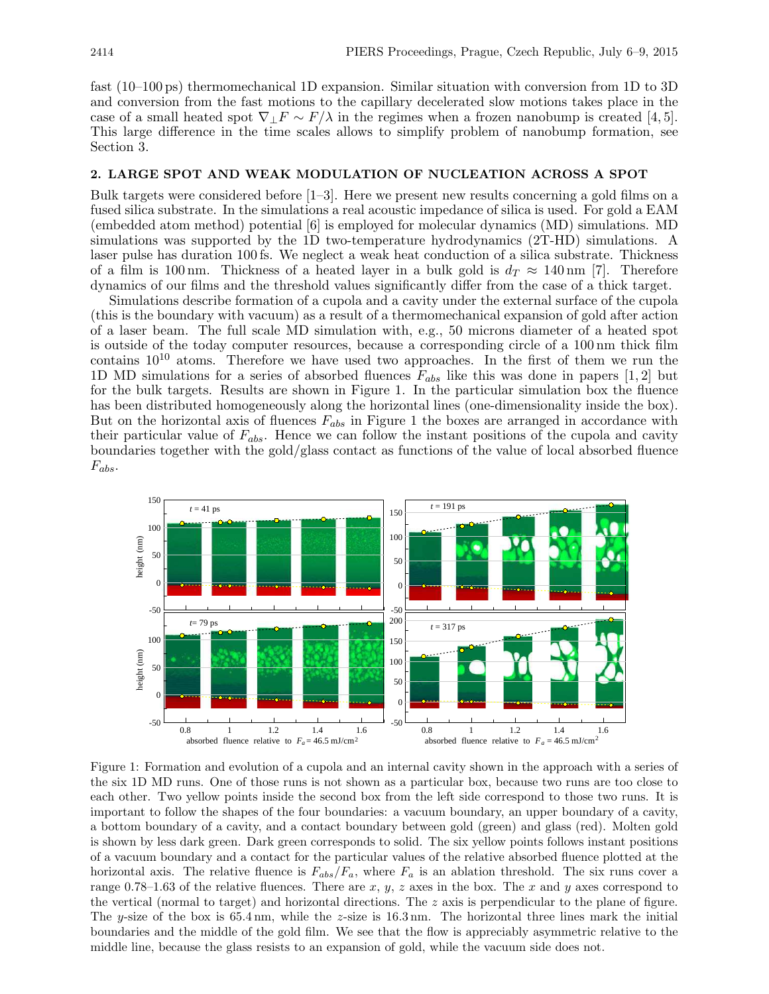fast (10–100 ps) thermomechanical 1D expansion. Similar situation with conversion from 1D to 3D and conversion from the fast motions to the capillary decelerated slow motions takes place in the case of a small heated spot  $\nabla_{\perp} F \sim F/\lambda$  in the regimes when a frozen nanobump is created [4, 5]. This large difference in the time scales allows to simplify problem of nanobump formation, see Section 3.

#### 2. LARGE SPOT AND WEAK MODULATION OF NUCLEATION ACROSS A SPOT

Bulk targets were considered before [1–3]. Here we present new results concerning a gold films on a fused silica substrate. In the simulations a real acoustic impedance of silica is used. For gold a EAM (embedded atom method) potential [6] is employed for molecular dynamics (MD) simulations. MD simulations was supported by the 1D two-temperature hydrodynamics (2T-HD) simulations. A laser pulse has duration 100 fs. We neglect a weak heat conduction of a silica substrate. Thickness of a film is 100 nm. Thickness of a heated layer in a bulk gold is  $d_T \approx 140$  nm [7]. Therefore dynamics of our films and the threshold values significantly differ from the case of a thick target.

Simulations describe formation of a cupola and a cavity under the external surface of the cupola (this is the boundary with vacuum) as a result of a thermomechanical expansion of gold after action of a laser beam. The full scale MD simulation with, e.g., 50 microns diameter of a heated spot is outside of the today computer resources, because a corresponding circle of a 100 nm thick film contains  $10^{10}$  atoms. Therefore we have used two approaches. In the first of them we run the 1D MD simulations for a series of absorbed fluences  $F_{abs}$  like this was done in papers [1, 2] but for the bulk targets. Results are shown in Figure 1. In the particular simulation box the fluence has been distributed homogeneously along the horizontal lines (one-dimensionality inside the box). But on the horizontal axis of fluences  $F_{abs}$  in Figure 1 the boxes are arranged in accordance with their particular value of  $F_{abs}$ . Hence we can follow the instant positions of the cupola and cavity boundaries together with the gold/glass contact as functions of the value of local absorbed fluence  $F_{abs}$ .



Figure 1: Formation and evolution of a cupola and an internal cavity shown in the approach with a series of the six 1D MD runs. One of those runs is not shown as a particular box, because two runs are too close to each other. Two yellow points inside the second box from the left side correspond to those two runs. It is important to follow the shapes of the four boundaries: a vacuum boundary, an upper boundary of a cavity, a bottom boundary of a cavity, and a contact boundary between gold (green) and glass (red). Molten gold is shown by less dark green. Dark green corresponds to solid. The six yellow points follows instant positions of a vacuum boundary and a contact for the particular values of the relative absorbed fluence plotted at the horizontal axis. The relative fluence is  $F_{abs}/F_a$ , where  $F_a$  is an ablation threshold. The six runs cover a range 0.78–1.63 of the relative fluences. There are  $x, y, z$  axes in the box. The x and y axes correspond to the vertical (normal to target) and horizontal directions. The z axis is perpendicular to the plane of figure. The y-size of the box is  $65.4 \text{ nm}$ , while the z-size is  $16.3 \text{ nm}$ . The horizontal three lines mark the initial boundaries and the middle of the gold film. We see that the flow is appreciably asymmetric relative to the middle line, because the glass resists to an expansion of gold, while the vacuum side does not.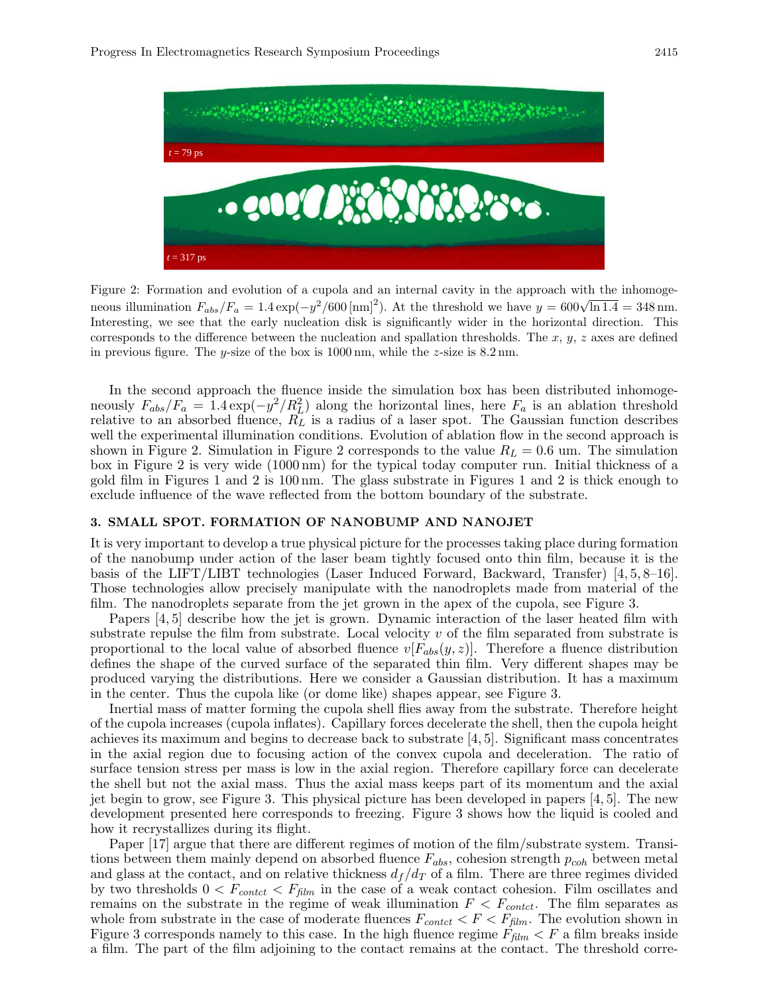

Figure 2: Formation and evolution of a cupola and an internal cavity in the approach with the inhomogeneous illumination  $F_{abs}/F_a = 1.4 \exp(-y^2/600 \text{ [nm]}^2)$ . At the threshold we have  $y = 600\sqrt{\ln 1.4} = 348 \text{ nm}$ . Interesting, we see that the early nucleation disk is significantly wider in the horizontal direction. This corresponds to the difference between the nucleation and spallation thresholds. The  $x, y, z$  axes are defined in previous figure. The y-size of the box is  $1000 \text{ nm}$ , while the z-size is  $8.2 \text{ nm}$ .

In the second approach the fluence inside the simulation box has been distributed inhomogeneously  $F_{abs}/F_a = 1.4 \exp(-y^2/R_L^2)$  along the horizontal lines, here  $F_a$  is an ablation threshold relative to an absorbed fluence,  $R_L$  is a radius of a laser spot. The Gaussian function describes well the experimental illumination conditions. Evolution of ablation flow in the second approach is shown in Figure 2. Simulation in Figure 2 corresponds to the value  $R_L = 0.6$  um. The simulation box in Figure 2 is very wide (1000 nm) for the typical today computer run. Initial thickness of a gold film in Figures 1 and 2 is 100 nm. The glass substrate in Figures 1 and 2 is thick enough to exclude influence of the wave reflected from the bottom boundary of the substrate.

#### 3. SMALL SPOT. FORMATION OF NANOBUMP AND NANOJET

It is very important to develop a true physical picture for the processes taking place during formation of the nanobump under action of the laser beam tightly focused onto thin film, because it is the basis of the LIFT/LIBT technologies (Laser Induced Forward, Backward, Transfer) [4, 5, 8–16]. Those technologies allow precisely manipulate with the nanodroplets made from material of the film. The nanodroplets separate from the jet grown in the apex of the cupola, see Figure 3.

Papers [4, 5] describe how the jet is grown. Dynamic interaction of the laser heated film with substrate repulse the film from substrate. Local velocity  $v$  of the film separated from substrate is proportional to the local value of absorbed fluence  $v[F_{abs}(y, z)]$ . Therefore a fluence distribution defines the shape of the curved surface of the separated thin film. Very different shapes may be produced varying the distributions. Here we consider a Gaussian distribution. It has a maximum in the center. Thus the cupola like (or dome like) shapes appear, see Figure 3.

Inertial mass of matter forming the cupola shell flies away from the substrate. Therefore height of the cupola increases (cupola inflates). Capillary forces decelerate the shell, then the cupola height achieves its maximum and begins to decrease back to substrate [4, 5]. Significant mass concentrates in the axial region due to focusing action of the convex cupola and deceleration. The ratio of surface tension stress per mass is low in the axial region. Therefore capillary force can decelerate the shell but not the axial mass. Thus the axial mass keeps part of its momentum and the axial jet begin to grow, see Figure 3. This physical picture has been developed in papers [4, 5]. The new development presented here corresponds to freezing. Figure 3 shows how the liquid is cooled and how it recrystallizes during its flight.

Paper [17] argue that there are different regimes of motion of the film/substrate system. Transitions between them mainly depend on absorbed fluence  $F_{abs}$ , cohesion strength  $p_{coh}$  between metal and glass at the contact, and on relative thickness  $d_f/d_T$  of a film. There are three regimes divided by two thresholds  $0 < F_{contact} < F_{film}$  in the case of a weak contact cohesion. Film oscillates and remains on the substrate in the regime of weak illumination  $F < F_{context}$ . The film separates as whole from substrate in the case of moderate fluences  $F_{contact} < F < F_{film}$ . The evolution shown in Figure 3 corresponds namely to this case. In the high fluence regime  $F_{film} < F$  a film breaks inside a film. The part of the film adjoining to the contact remains at the contact. The threshold corre-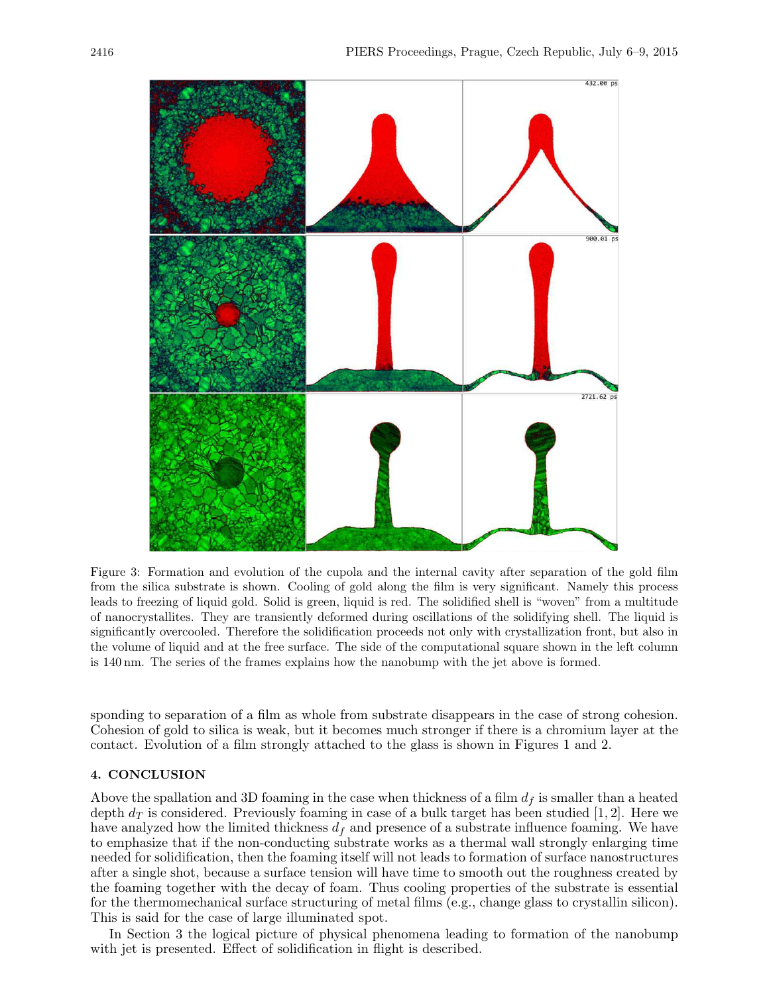

Figure 3: Formation and evolution of the cupola and the internal cavity after separation of the gold film from the silica substrate is shown. Cooling of gold along the film is very significant. Namely this process leads to freezing of liquid gold. Solid is green, liquid is red. The solidified shell is "woven" from a multitude of nanocrystallites. They are transiently deformed during oscillations of the solidifying shell. The liquid is significantly overcooled. Therefore the solidification proceeds not only with crystallization front, but also in the volume of liquid and at the free surface. The side of the computational square shown in the left column is 140 nm. The series of the frames explains how the nanobump with the jet above is formed.

sponding to separation of a film as whole from substrate disappears in the case of strong cohesion. Cohesion of gold to silica is weak, but it becomes much stronger if there is a chromium layer at the contact. Evolution of a film strongly attached to the glass is shown in Figures 1 and 2.

### 4. CONCLUSION

Above the spallation and 3D foaming in the case when thickness of a film  $d_f$  is smaller than a heated depth  $d_T$  is considered. Previously foaming in case of a bulk target has been studied [1, 2]. Here we have analyzed how the limited thickness  $d_f$  and presence of a substrate influence foaming. We have to emphasize that if the non-conducting substrate works as a thermal wall strongly enlarging time needed for solidification, then the foaming itself will not leads to formation of surface nanostructures after a single shot, because a surface tension will have time to smooth out the roughness created by the foaming together with the decay of foam. Thus cooling properties of the substrate is essential for the thermomechanical surface structuring of metal films (e.g., change glass to crystallin silicon). This is said for the case of large illuminated spot.

In Section 3 the logical picture of physical phenomena leading to formation of the nanobump with jet is presented. Effect of solidification in flight is described.